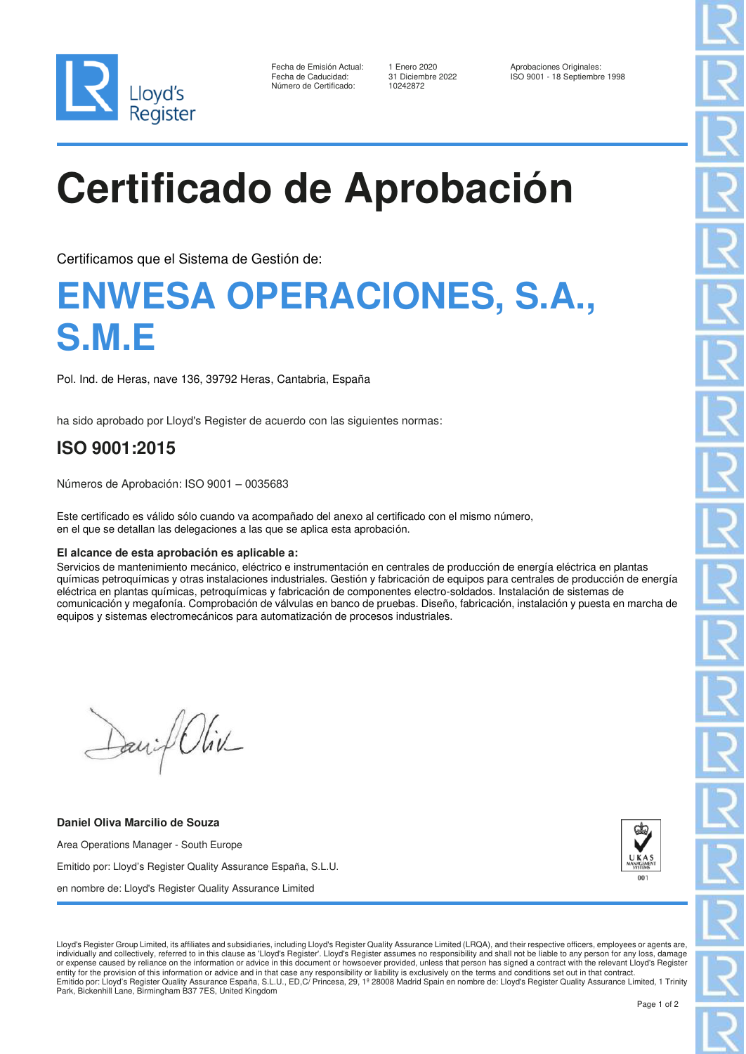

| Fecha de Emisión Actual: |
|--------------------------|
| Fecha de Caducidad:      |
| Número de Certificado:   |

10242872

1 Enero 2020 <br>31 Diciembre 2022 <br>Fecha de Emisión Actual: 18 Septiembre 2022 Fecha de Caducidad: 31 Diciembre 2022 ISO 9001 - 18 Septiembre 1998

# **Certificado de Aprobación**

Certificamos que el Sistema de Gestión de:

## **ENWESA OPERACIONES, S.A., S.M.E**

Pol. Ind. de Heras, nave 136, 39792 Heras, Cantabria, España

ha sido aprobado por Lloyd's Register de acuerdo con las siguientes normas:

### **ISO 9001:2015**

Números de Aprobación: ISO 9001 – 0035683

Este certificado es válido sólo cuando va acompañado del anexo al certificado con el mismo número, en el que se detallan las delegaciones a las que se aplica esta aprobación.

#### **El alcance de esta aprobación es aplicable a:**

Servicios de mantenimiento mecánico, eléctrico e instrumentación en centrales de producción de energía eléctrica en plantas químicas petroquímicas y otras instalaciones industriales. Gestión y fabricación de equipos para centrales de producción de energía eléctrica en plantas químicas, petroquímicas y fabricación de componentes electro-soldados. Instalación de sistemas de comunicación y megafonía. Comprobación de válvulas en banco de pruebas. Diseño, fabricación, instalación y puesta en marcha de equipos y sistemas electromecánicos para automatización de procesos industriales.

David Oliv

**Daniel Oliva Marcilio de Souza**

Area Operations Manager - South Europe Emitido por: Lloyd's Register Quality Assurance España, S.L.U. en nombre de: Lloyd's Register Quality Assurance Limited



Lloyd's Register Group Limited, its affiliates and subsidiaries, including Lloyd's Register Quality Assurance Limited (LRQA), and their respective officers, employees or agents are, individually and collectively, referred to in this clause as 'Lloyd's Register'. Lloyd's Register assumes no responsibility and shall not be liable to any person for any loss, damage<br>or expense caused by reliance on the in entity for the provision of this information or advice and in that case any responsibility or liability is exclusively on the terms and conditions set out in that contract.<br>Emitido por: Lloyd's Register Quality Assurance Park, Bickenhill Lane, Birmingham B37 7ES, United Kingdom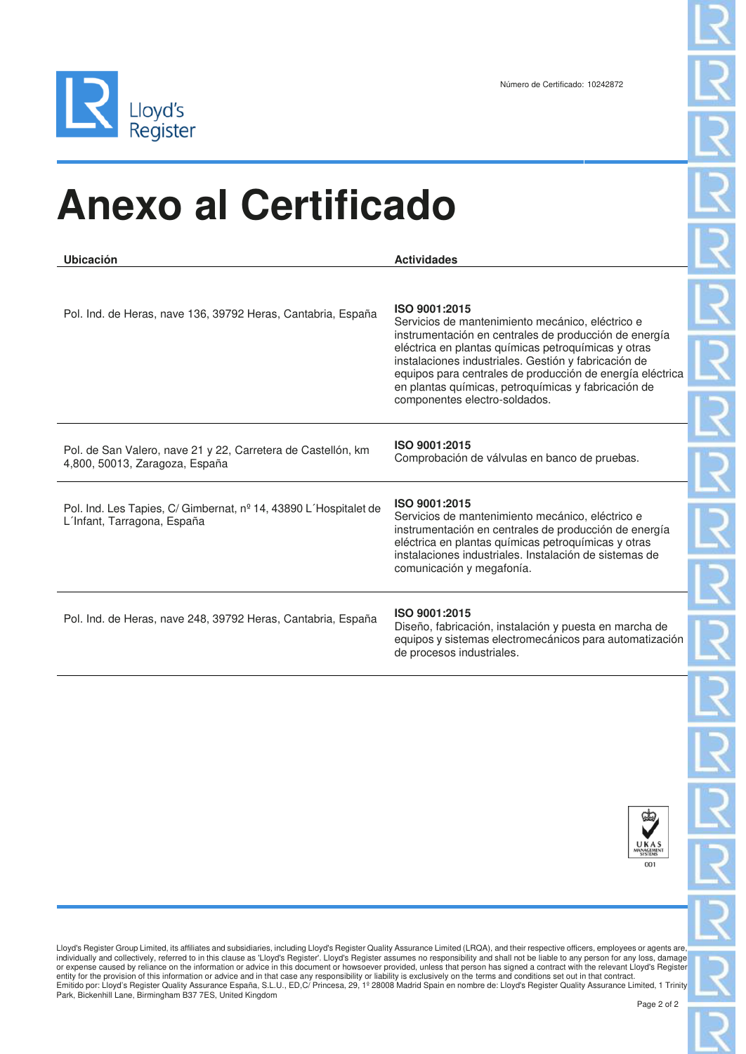

# **Anexo al Certificado**

| Ubicación                                                                                       | <b>Actividades</b>                                                                                                                                                                                                                                                                                                                                                                             |
|-------------------------------------------------------------------------------------------------|------------------------------------------------------------------------------------------------------------------------------------------------------------------------------------------------------------------------------------------------------------------------------------------------------------------------------------------------------------------------------------------------|
| Pol. Ind. de Heras, nave 136, 39792 Heras, Cantabria, España                                    | ISO 9001:2015<br>Servicios de mantenimiento mecánico, eléctrico e<br>instrumentación en centrales de producción de energía<br>eléctrica en plantas químicas petroquímicas y otras<br>instalaciones industriales. Gestión y fabricación de<br>equipos para centrales de producción de energía eléctrica<br>en plantas químicas, petroquímicas y fabricación de<br>componentes electro-soldados. |
| Pol. de San Valero, nave 21 y 22, Carretera de Castellón, km<br>4,800, 50013, Zaragoza, España  | ISO 9001:2015<br>Comprobación de válvulas en banco de pruebas.                                                                                                                                                                                                                                                                                                                                 |
| Pol. Ind. Les Tapies, C/ Gimbernat, nº 14, 43890 L'Hospitalet de<br>L'Infant, Tarragona, España | ISO 9001:2015<br>Servicios de mantenimiento mecánico, eléctrico e<br>instrumentación en centrales de producción de energía<br>eléctrica en plantas químicas petroquímicas y otras<br>instalaciones industriales. Instalación de sistemas de<br>comunicación y megafonía.                                                                                                                       |
| Pol. Ind. de Heras, nave 248, 39792 Heras, Cantabria, España                                    | ISO 9001:2015<br>Diseño, fabricación, instalación y puesta en marcha de<br>equipos y sistemas electromecánicos para automatización<br>de procesos industriales.                                                                                                                                                                                                                                |



Lloyd's Register Group Limited, its affiliates and subsidiaries, including Lloyd's Register Quality Assurance Limited (LRQA), and their respective officers, employees or agents are, individually and collectively, referred to in this clause as 'Lloyd's Register'. Lloyd's Register assumes no responsibility and shall not be liable to any person for any loss, damage<br>or expense caused by reliance on the in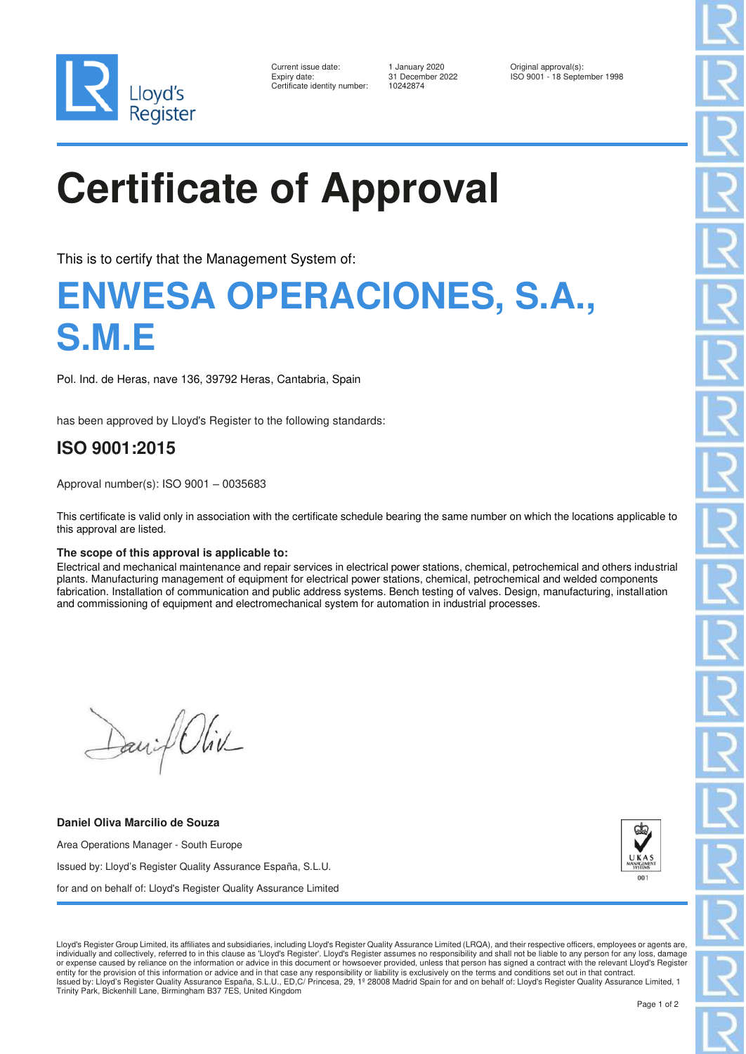

| Current issue date:        |
|----------------------------|
| Expiry date:               |
| Certificate identity numbe |

1 January 2020 **Current Constrained August 2021** Original approval(s):<br>31 December 2022 **ISO 9001** - 18 Septe er: 10242874

ISO 9001 - 18 September 1998

# **Certificate of Approval**

This is to certify that the Management System of:

## **ENWESA OPERACIONES, S.A., S.M.E**

Pol. Ind. de Heras, nave 136, 39792 Heras, Cantabria, Spain

has been approved by Lloyd's Register to the following standards:

### **ISO 9001:2015**

Approval number(s): ISO 9001 – 0035683

This certificate is valid only in association with the certificate schedule bearing the same number on which the locations applicable to this approval are listed.

#### **The scope of this approval is applicable to:**

Electrical and mechanical maintenance and repair services in electrical power stations, chemical, petrochemical and others industrial plants. Manufacturing management of equipment for electrical power stations, chemical, petrochemical and welded components fabrication. Installation of communication and public address systems. Bench testing of valves. Design, manufacturing, installation and commissioning of equipment and electromechanical system for automation in industrial processes.

David Oliv

**Daniel Oliva Marcilio de Souza** Area Operations Manager - South Europe Issued by: Lloyd's Register Quality Assurance España, S.L.U. for and on behalf of: Lloyd's Register Quality Assurance Limited



Lloyd's Register Group Limited, its affiliates and subsidiaries, including Lloyd's Register Quality Assurance Limited (LRQA), and their respective officers, employees or agents are, individually and collectively, referred to in this clause as 'Lloyd's Register'. Lloyd's Register assumes no responsibility and shall not be liable to any person for any loss, damage<br>or expense caused by reliance on the in entity for the provision of this information or advice and in that case any responsibility or liability is exclusively on the terms and conditions set out in that contract.<br>Issued by: Lloyd's Register Quality Assurance Esp Trinity Park, Bickenhill Lane, Birmingham B37 7ES, United Kingdom